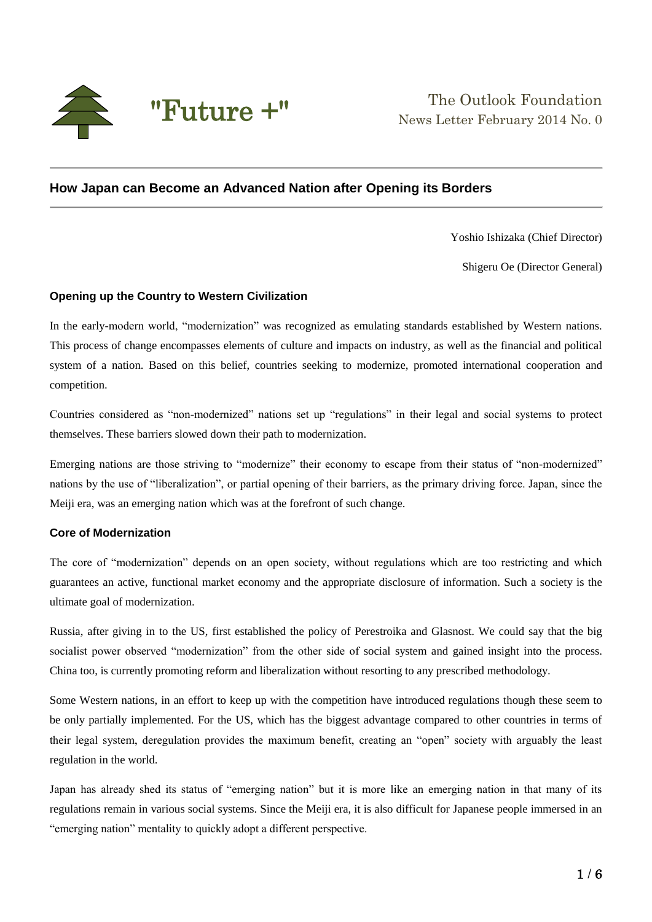

# **How Japan can Become an Advanced Nation after Opening its Borders**

Yoshio Ishizaka (Chief Director)

Shigeru Oe (Director General)

## **Opening up the Country to Western Civilization**

In the early-modern world, "modernization" was recognized as emulating standards established by Western nations. This process of change encompasses elements of culture and impacts on industry, as well as the financial and political system of a nation. Based on this belief, countries seeking to modernize, promoted international cooperation and competition.

Countries considered as "non-modernized" nations set up "regulations" in their legal and social systems to protect themselves. These barriers slowed down their path to modernization.

Emerging nations are those striving to "modernize" their economy to escape from their status of "non-modernized" nations by the use of "liberalization", or partial opening of their barriers, as the primary driving force. Japan, since the Meiji era, was an emerging nation which was at the forefront of such change.

## **Core of Modernization**

The core of "modernization" depends on an open society, without regulations which are too restricting and which guarantees an active, functional market economy and the appropriate disclosure of information. Such a society is the ultimate goal of modernization.

Russia, after giving in to the US, first established the policy of Perestroika and Glasnost. We could say that the big socialist power observed "modernization" from the other side of social system and gained insight into the process. China too, is currently promoting reform and liberalization without resorting to any prescribed methodology.

Some Western nations, in an effort to keep up with the competition have introduced regulations though these seem to be only partially implemented. For the US, which has the biggest advantage compared to other countries in terms of their legal system, deregulation provides the maximum benefit, creating an "open" society with arguably the least regulation in the world.

Japan has already shed its status of "emerging nation" but it is more like an emerging nation in that many of its regulations remain in various social systems. Since the Meiji era, it is also difficult for Japanese people immersed in an "emerging nation" mentality to quickly adopt a different perspective.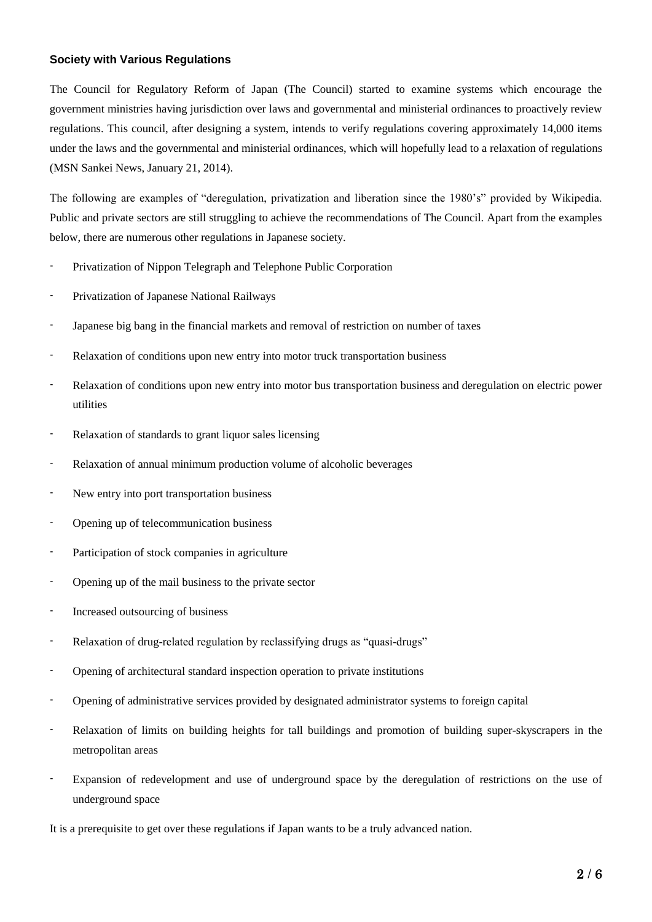## **Society with Various Regulations**

The Council for Regulatory Reform of Japan (The Council) started to examine systems which encourage the government ministries having jurisdiction over laws and governmental and ministerial ordinances to proactively review regulations. This council, after designing a system, intends to verify regulations covering approximately 14,000 items under the laws and the governmental and ministerial ordinances, which will hopefully lead to a relaxation of regulations (MSN Sankei News, January 21, 2014).

The following are examples of "deregulation, privatization and liberation since the 1980's" provided by Wikipedia. Public and private sectors are still struggling to achieve the recommendations of The Council. Apart from the examples below, there are numerous other regulations in Japanese society.

- Privatization of Nippon Telegraph and Telephone Public Corporation
- Privatization of Japanese National Railways
- Japanese big bang in the financial markets and removal of restriction on number of taxes
- Relaxation of conditions upon new entry into motor truck transportation business
- Relaxation of conditions upon new entry into motor bus transportation business and deregulation on electric power utilities
- Relaxation of standards to grant liquor sales licensing
- Relaxation of annual minimum production volume of alcoholic beverages
- New entry into port transportation business
- Opening up of telecommunication business
- Participation of stock companies in agriculture
- Opening up of the mail business to the private sector
- Increased outsourcing of business
- Relaxation of drug-related regulation by reclassifying drugs as "quasi-drugs"
- Opening of architectural standard inspection operation to private institutions
- Opening of administrative services provided by designated administrator systems to foreign capital
- Relaxation of limits on building heights for tall buildings and promotion of building super-skyscrapers in the metropolitan areas
- Expansion of redevelopment and use of underground space by the deregulation of restrictions on the use of underground space

It is a prerequisite to get over these regulations if Japan wants to be a truly advanced nation.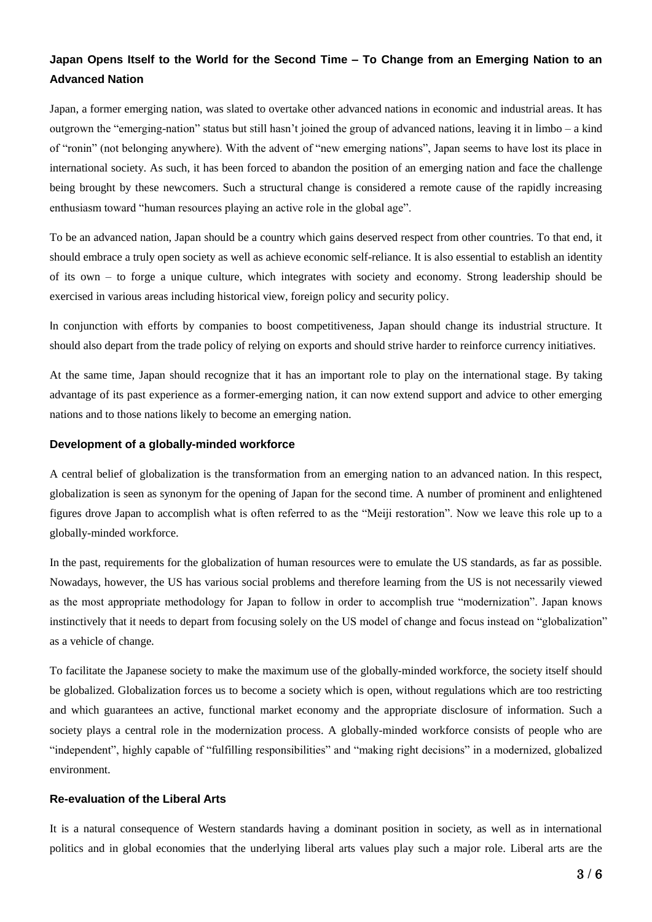# **Japan Opens Itself to the World for the Second Time – To Change from an Emerging Nation to an Advanced Nation**

Japan, a former emerging nation, was slated to overtake other advanced nations in economic and industrial areas. It has outgrown the "emerging-nation" status but still hasn't joined the group of advanced nations, leaving it in limbo – a kind of "ronin" (not belonging anywhere). With the advent of "new emerging nations", Japan seems to have lost its place in international society. As such, it has been forced to abandon the position of an emerging nation and face the challenge being brought by these newcomers. Such a structural change is considered a remote cause of the rapidly increasing enthusiasm toward "human resources playing an active role in the global age".

To be an advanced nation, Japan should be a country which gains deserved respect from other countries. To that end, it should embrace a truly open society as well as achieve economic self-reliance. It is also essential to establish an identity of its own – to forge a unique culture, which integrates with society and economy. Strong leadership should be exercised in various areas including historical view, foreign policy and security policy.

In conjunction with efforts by companies to boost competitiveness, Japan should change its industrial structure. It should also depart from the trade policy of relying on exports and should strive harder to reinforce currency initiatives.

At the same time, Japan should recognize that it has an important role to play on the international stage. By taking advantage of its past experience as a former-emerging nation, it can now extend support and advice to other emerging nations and to those nations likely to become an emerging nation.

## **Development of a globally-minded workforce**

A central belief of globalization is the transformation from an emerging nation to an advanced nation. In this respect, globalization is seen as synonym for the opening of Japan for the second time. A number of prominent and enlightened figures drove Japan to accomplish what is often referred to as the "Meiji restoration". Now we leave this role up to a globally-minded workforce.

In the past, requirements for the globalization of human resources were to emulate the US standards, as far as possible. Nowadays, however, the US has various social problems and therefore learning from the US is not necessarily viewed as the most appropriate methodology for Japan to follow in order to accomplish true "modernization". Japan knows instinctively that it needs to depart from focusing solely on the US model of change and focus instead on "globalization" as a vehicle of change.

To facilitate the Japanese society to make the maximum use of the globally-minded workforce, the society itself should be globalized. Globalization forces us to become a society which is open, without regulations which are too restricting and which guarantees an active, functional market economy and the appropriate disclosure of information. Such a society plays a central role in the modernization process. A globally-minded workforce consists of people who are "independent", highly capable of "fulfilling responsibilities" and "making right decisions" in a modernized, globalized environment.

## **Re-evaluation of the Liberal Arts**

It is a natural consequence of Western standards having a dominant position in society, as well as in international politics and in global economies that the underlying liberal arts values play such a major role. Liberal arts are the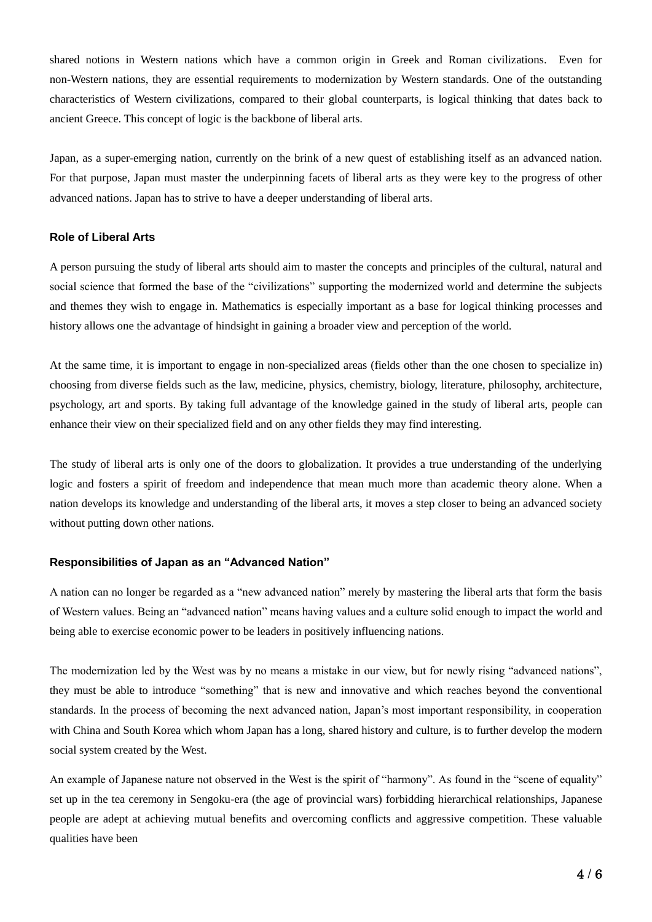shared notions in Western nations which have a common origin in Greek and Roman civilizations. Even for non-Western nations, they are essential requirements to modernization by Western standards. One of the outstanding characteristics of Western civilizations, compared to their global counterparts, is logical thinking that dates back to ancient Greece. This concept of logic is the backbone of liberal arts.

Japan, as a super-emerging nation, currently on the brink of a new quest of establishing itself as an advanced nation. For that purpose, Japan must master the underpinning facets of liberal arts as they were key to the progress of other advanced nations. Japan has to strive to have a deeper understanding of liberal arts.

## **Role of Liberal Arts**

A person pursuing the study of liberal arts should aim to master the concepts and principles of the cultural, natural and social science that formed the base of the "civilizations" supporting the modernized world and determine the subjects and themes they wish to engage in. Mathematics is especially important as a base for logical thinking processes and history allows one the advantage of hindsight in gaining a broader view and perception of the world.

At the same time, it is important to engage in non-specialized areas (fields other than the one chosen to specialize in) choosing from diverse fields such as the law, medicine, physics, chemistry, biology, literature, philosophy, architecture, psychology, art and sports. By taking full advantage of the knowledge gained in the study of liberal arts, people can enhance their view on their specialized field and on any other fields they may find interesting.

The study of liberal arts is only one of the doors to globalization. It provides a true understanding of the underlying logic and fosters a spirit of freedom and independence that mean much more than academic theory alone. When a nation develops its knowledge and understanding of the liberal arts, it moves a step closer to being an advanced society without putting down other nations.

#### **Responsibilities of Japan as an "Advanced Nation"**

A nation can no longer be regarded as a "new advanced nation" merely by mastering the liberal arts that form the basis of Western values. Being an "advanced nation" means having values and a culture solid enough to impact the world and being able to exercise economic power to be leaders in positively influencing nations.

The modernization led by the West was by no means a mistake in our view, but for newly rising "advanced nations", they must be able to introduce "something" that is new and innovative and which reaches beyond the conventional standards. In the process of becoming the next advanced nation, Japan's most important responsibility, in cooperation with China and South Korea which whom Japan has a long, shared history and culture, is to further develop the modern social system created by the West.

An example of Japanese nature not observed in the West is the spirit of "harmony". As found in the "scene of equality" set up in the tea ceremony in Sengoku-era (the age of provincial wars) forbidding hierarchical relationships, Japanese people are adept at achieving mutual benefits and overcoming conflicts and aggressive competition. These valuable qualities have been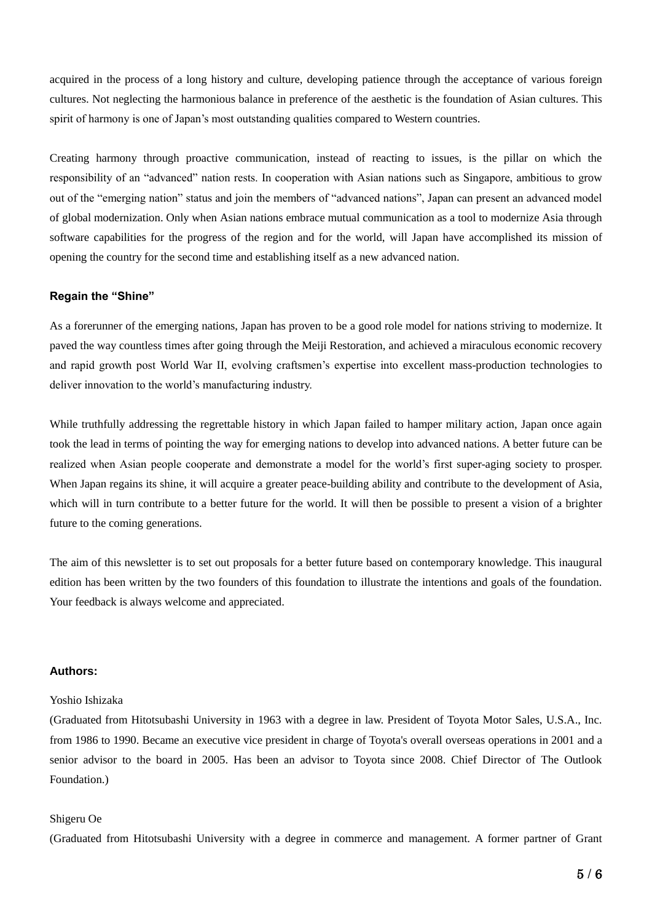acquired in the process of a long history and culture, developing patience through the acceptance of various foreign cultures. Not neglecting the harmonious balance in preference of the aesthetic is the foundation of Asian cultures. This spirit of harmony is one of Japan's most outstanding qualities compared to Western countries.

Creating harmony through proactive communication, instead of reacting to issues, is the pillar on which the responsibility of an "advanced" nation rests. In cooperation with Asian nations such as Singapore, ambitious to grow out of the "emerging nation" status and join the members of "advanced nations", Japan can present an advanced model of global modernization. Only when Asian nations embrace mutual communication as a tool to modernize Asia through software capabilities for the progress of the region and for the world, will Japan have accomplished its mission of opening the country for the second time and establishing itself as a new advanced nation.

#### **Regain the "Shine"**

As a forerunner of the emerging nations, Japan has proven to be a good role model for nations striving to modernize. It paved the way countless times after going through the Meiji Restoration, and achieved a miraculous economic recovery and rapid growth post World War II, evolving craftsmen's expertise into excellent mass-production technologies to deliver innovation to the world's manufacturing industry.

While truthfully addressing the regrettable history in which Japan failed to hamper military action, Japan once again took the lead in terms of pointing the way for emerging nations to develop into advanced nations. A better future can be realized when Asian people cooperate and demonstrate a model for the world's first super-aging society to prosper. When Japan regains its shine, it will acquire a greater peace-building ability and contribute to the development of Asia, which will in turn contribute to a better future for the world. It will then be possible to present a vision of a brighter future to the coming generations.

The aim of this newsletter is to set out proposals for a better future based on contemporary knowledge. This inaugural edition has been written by the two founders of this foundation to illustrate the intentions and goals of the foundation. Your feedback is always welcome and appreciated.

#### **Authors:**

#### Yoshio Ishizaka

(Graduated from Hitotsubashi University in 1963 with a degree in law. President of Toyota Motor Sales, U.S.A., Inc. from 1986 to 1990. Became an executive vice president in charge of Toyota's overall overseas operations in 2001 and a senior advisor to the board in 2005. Has been an advisor to Toyota since 2008. Chief Director of The Outlook Foundation.)

#### Shigeru Oe

(Graduated from Hitotsubashi University with a degree in commerce and management. A former partner of Grant